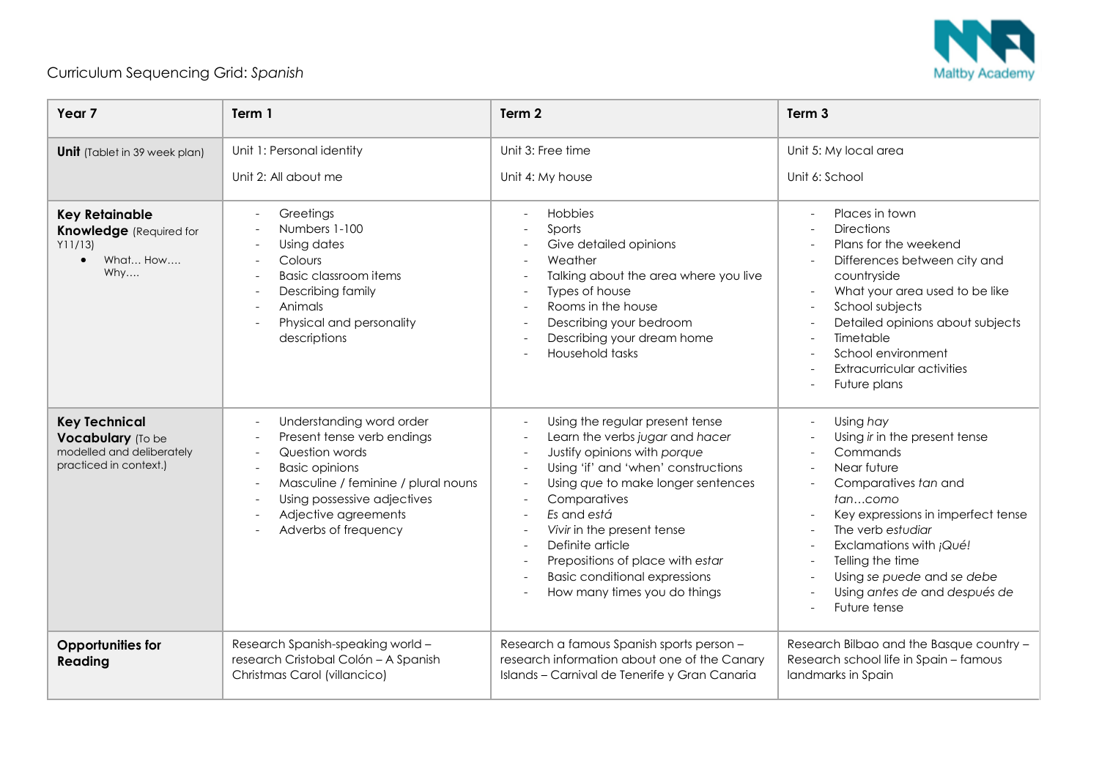

## Curriculum Sequencing Grid: *Spanish*

| Year <sub>7</sub>                                                                                 | Term 1                                                                                                                                                                                                                  | Term 2                                                                                                                                                                                                                                                                                                                                                                       | Term <sub>3</sub>                                                                                                                                                                                                                                                                                 |
|---------------------------------------------------------------------------------------------------|-------------------------------------------------------------------------------------------------------------------------------------------------------------------------------------------------------------------------|------------------------------------------------------------------------------------------------------------------------------------------------------------------------------------------------------------------------------------------------------------------------------------------------------------------------------------------------------------------------------|---------------------------------------------------------------------------------------------------------------------------------------------------------------------------------------------------------------------------------------------------------------------------------------------------|
| <b>Unit</b> (Tablet in 39 week plan)                                                              | Unit 1: Personal identity<br>Unit 2: All about me                                                                                                                                                                       | Unit 3: Free time<br>Unit 4: My house                                                                                                                                                                                                                                                                                                                                        | Unit 5: My local area<br>Unit 6: School                                                                                                                                                                                                                                                           |
| <b>Key Retainable</b><br><b>Knowledge</b> (Required for<br>Y11/13<br>What How<br>$\bullet$<br>Why | Greetings<br>Numbers 1-100<br>Using dates<br>Colours<br><b>Basic classroom items</b><br>Describing family<br>Animals<br>Physical and personality<br>descriptions                                                        | Hobbies<br>Sports<br>Give detailed opinions<br>Weather<br>Talking about the area where you live<br>Types of house<br>Rooms in the house<br>Describing your bedroom<br>Describing your dream home<br>Household tasks                                                                                                                                                          | Places in town<br><b>Directions</b><br>Plans for the weekend<br>Differences between city and<br>countryside<br>What your area used to be like<br>School subjects<br>Detailed opinions about subjects<br>Timetable<br>School environment<br><b>Extracurricular activities</b><br>Future plans      |
| <b>Key Technical</b><br>Vocabulary (To be<br>modelled and deliberately<br>practiced in context.)  | Understanding word order<br>Present tense verb endings<br>Question words<br><b>Basic opinions</b><br>Masculine / feminine / plural nouns<br>Using possessive adjectives<br>Adjective agreements<br>Adverbs of frequency | Using the regular present tense<br>Learn the verbs jugar and hacer<br>Justify opinions with porque<br>Using 'if' and 'when' constructions<br>Using que to make longer sentences<br>Comparatives<br>Es and está<br>Vivir in the present tense<br>Definite article<br>Prepositions of place with estar<br><b>Basic conditional expressions</b><br>How many times you do things | Using hay<br>Using ir in the present tense<br>Commands<br>Near future<br>Comparatives tan and<br>tancomo<br>Key expressions in imperfect tense<br>The verb estudiar<br>Exclamations with ¡Qué!<br>Telling the time<br>Using se puede and se debe<br>Using antes de and después de<br>Future tense |
| <b>Opportunities for</b><br>Reading                                                               | Research Spanish-speaking world -<br>research Cristobal Colón - A Spanish<br>Christmas Carol (villancico)                                                                                                               | Research a famous Spanish sports person -<br>research information about one of the Canary<br>Islands - Carnival de Tenerife y Gran Canaria                                                                                                                                                                                                                                   | Research Bilbao and the Basque country -<br>Research school life in Spain - famous<br>landmarks in Spain                                                                                                                                                                                          |